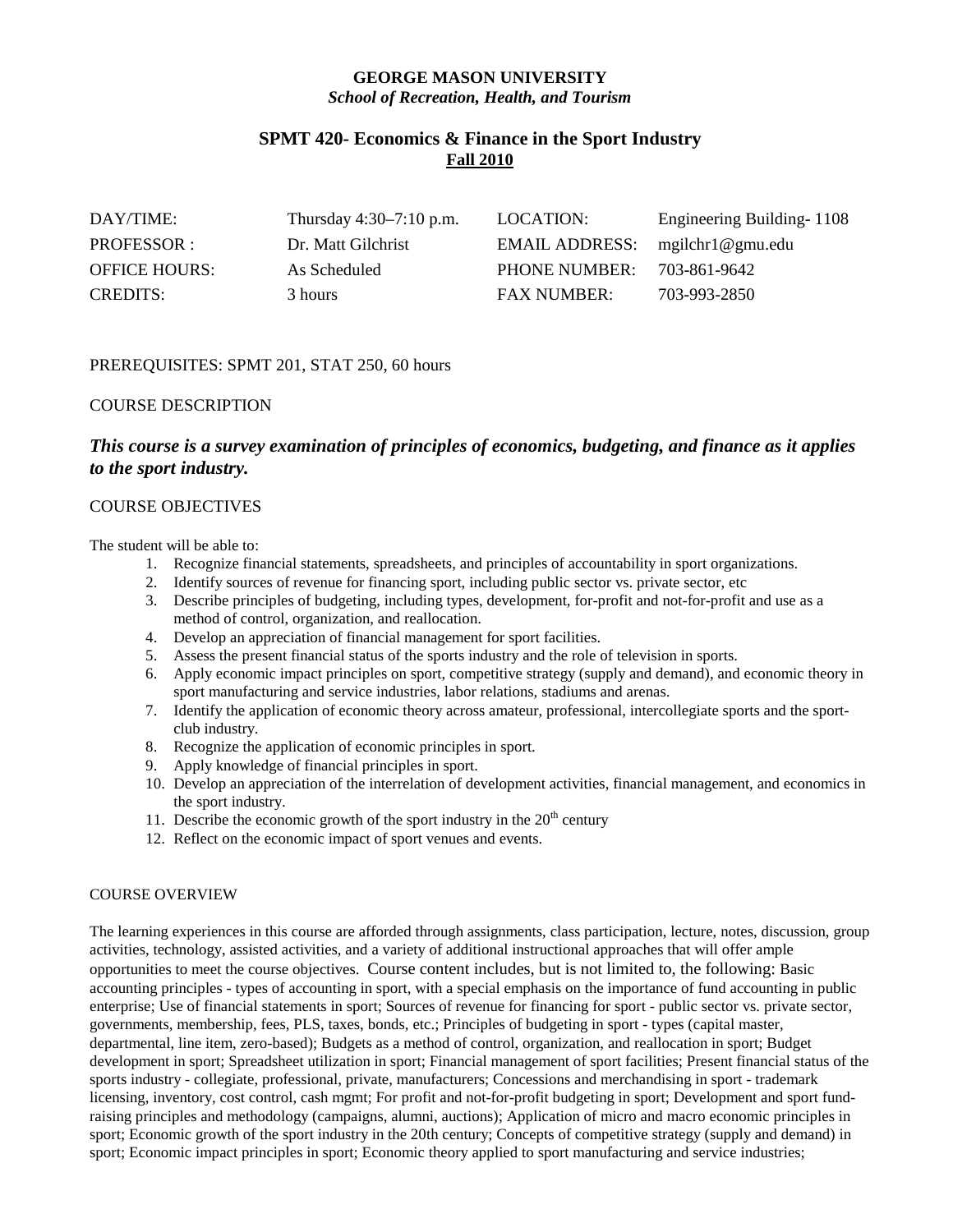# **GEORGE MASON UNIVERSITY** *School of Recreation, Health, and Tourism*

# **SPMT 420- Economics & Finance in the Sport Industry Fall 2010**

| DAY/TIME:            | Thursday $4:30-7:10$ p.m. | LOCATION:          | Engineering Building-1108 |
|----------------------|---------------------------|--------------------|---------------------------|
| PROFESSOR :          | Dr. Matt Gilchrist        | EMAIL ADDRESS:     | mgilchr1@gmu.edu          |
| <b>OFFICE HOURS:</b> | As Scheduled              | PHONE NUMBER:      | 703-861-9642              |
| <b>CREDITS:</b>      | 3 hours                   | <b>FAX NUMBER:</b> | 703-993-2850              |

# PREREQUISITES: SPMT 201, STAT 250, 60 hours

## COURSE DESCRIPTION

# *This course is a survey examination of principles of economics, budgeting, and finance as it applies to the sport industry.*

## COURSE OBJECTIVES

The student will be able to:

- 1. Recognize financial statements, spreadsheets, and principles of accountability in sport organizations.
- 2. Identify sources of revenue for financing sport, including public sector vs. private sector, etc
- 3. Describe principles of budgeting, including types, development, for-profit and not-for-profit and use as a method of control, organization, and reallocation.
- 4. Develop an appreciation of financial management for sport facilities.
- 5. Assess the present financial status of the sports industry and the role of television in sports.
- 6. Apply economic impact principles on sport, competitive strategy (supply and demand), and economic theory in sport manufacturing and service industries, labor relations, stadiums and arenas.
- 7. Identify the application of economic theory across amateur, professional, intercollegiate sports and the sportclub industry.
- 8. Recognize the application of economic principles in sport.
- 9. Apply knowledge of financial principles in sport.
- 10. Develop an appreciation of the interrelation of development activities, financial management, and economics in the sport industry.
- 11. Describe the economic growth of the sport industry in the  $20<sup>th</sup>$  century
- 12. Reflect on the economic impact of sport venues and events.

## COURSE OVERVIEW

The learning experiences in this course are afforded through assignments, class participation, lecture, notes, discussion, group activities, technology, assisted activities, and a variety of additional instructional approaches that will offer ample opportunities to meet the course objectives. Course content includes, but is not limited to, the following: Basic accounting principles - types of accounting in sport, with a special emphasis on the importance of fund accounting in public enterprise; Use of financial statements in sport; Sources of revenue for financing for sport - public sector vs. private sector, governments, membership, fees, PLS, taxes, bonds, etc.; Principles of budgeting in sport - types (capital master, departmental, line item, zero-based); Budgets as a method of control, organization, and reallocation in sport; Budget development in sport; Spreadsheet utilization in sport; Financial management of sport facilities; Present financial status of the sports industry - collegiate, professional, private, manufacturers; Concessions and merchandising in sport - trademark licensing, inventory, cost control, cash mgmt; For profit and not-for-profit budgeting in sport; Development and sport fundraising principles and methodology (campaigns, alumni, auctions); Application of micro and macro economic principles in sport; Economic growth of the sport industry in the 20th century; Concepts of competitive strategy (supply and demand) in sport; Economic impact principles in sport; Economic theory applied to sport manufacturing and service industries;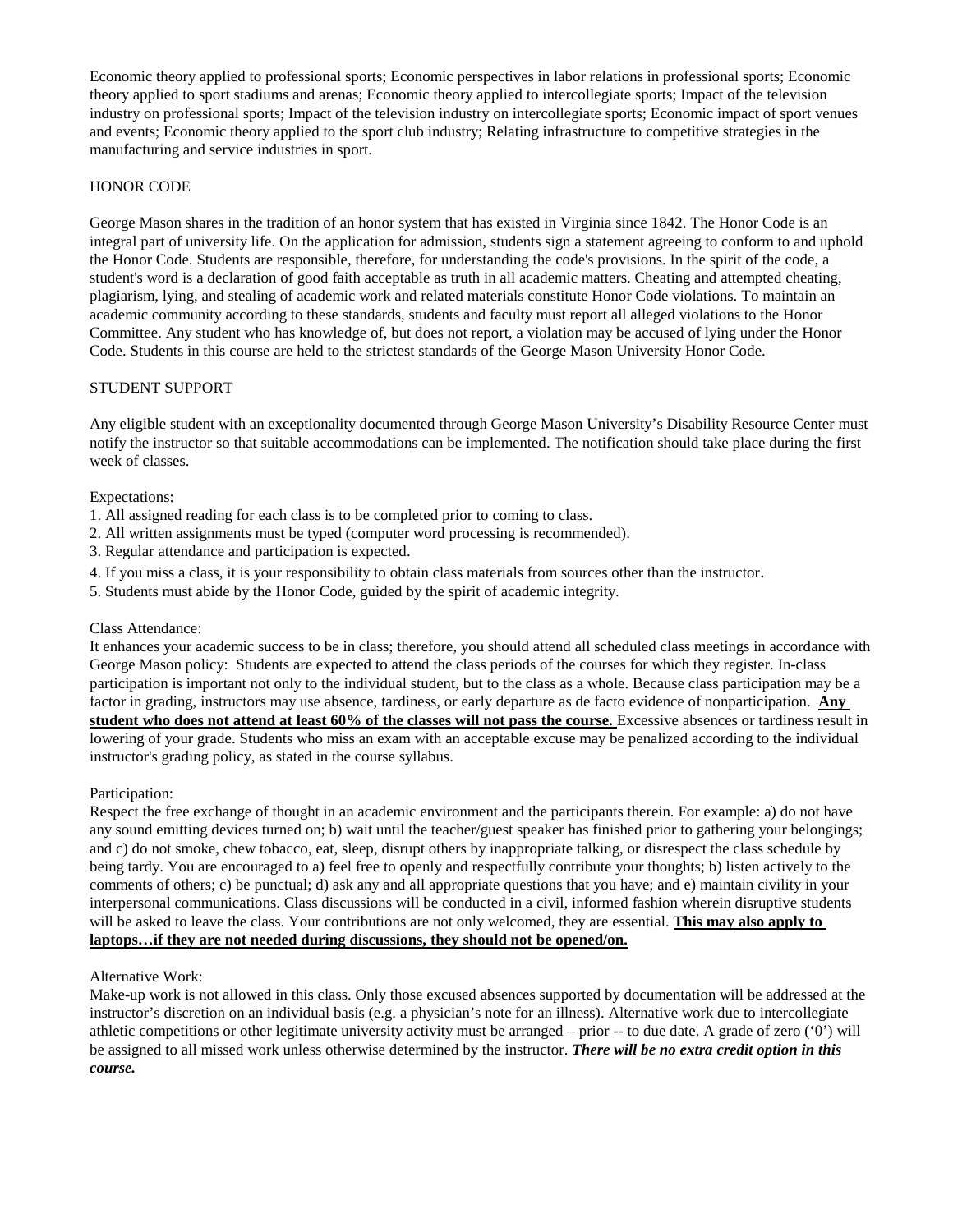Economic theory applied to professional sports; Economic perspectives in labor relations in professional sports; Economic theory applied to sport stadiums and arenas; Economic theory applied to intercollegiate sports; Impact of the television industry on professional sports; Impact of the television industry on intercollegiate sports; Economic impact of sport venues and events; Economic theory applied to the sport club industry; Relating infrastructure to competitive strategies in the manufacturing and service industries in sport.

## HONOR CODE

George Mason shares in the tradition of an honor system that has existed in Virginia since 1842. The Honor Code is an integral part of university life. On the application for admission, students sign a statement agreeing to conform to and uphold the Honor Code. Students are responsible, therefore, for understanding the code's provisions. In the spirit of the code, a student's word is a declaration of good faith acceptable as truth in all academic matters. Cheating and attempted cheating, plagiarism, lying, and stealing of academic work and related materials constitute Honor Code violations. To maintain an academic community according to these standards, students and faculty must report all alleged violations to the Honor Committee. Any student who has knowledge of, but does not report, a violation may be accused of lying under the Honor Code. Students in this course are held to the strictest standards of the George Mason University Honor Code.

## STUDENT SUPPORT

Any eligible student with an exceptionality documented through George Mason University's Disability Resource Center must notify the instructor so that suitable accommodations can be implemented. The notification should take place during the first week of classes.

## Expectations:

- 1. All assigned reading for each class is to be completed prior to coming to class.
- 2. All written assignments must be typed (computer word processing is recommended).
- 3. Regular attendance and participation is expected.
- 4. If you miss a class, it is your responsibility to obtain class materials from sources other than the instructor.
- 5. Students must abide by the Honor Code, guided by the spirit of academic integrity.

### Class Attendance:

It enhances your academic success to be in class; therefore, you should attend all scheduled class meetings in accordance with George Mason policy: Students are expected to attend the class periods of the courses for which they register. In-class participation is important not only to the individual student, but to the class as a whole. Because class participation may be a factor in grading, instructors may use absence, tardiness, or early departure as de facto evidence of nonparticipation. **Any student who does not attend at least 60% of the classes will not pass the course.** Excessive absences or tardiness result in lowering of your grade. Students who miss an exam with an acceptable excuse may be penalized according to the individual instructor's grading policy, as stated in the course syllabus.

### Participation:

Respect the free exchange of thought in an academic environment and the participants therein. For example: a) do not have any sound emitting devices turned on; b) wait until the teacher/guest speaker has finished prior to gathering your belongings; and c) do not smoke, chew tobacco, eat, sleep, disrupt others by inappropriate talking, or disrespect the class schedule by being tardy. You are encouraged to a) feel free to openly and respectfully contribute your thoughts; b) listen actively to the comments of others; c) be punctual; d) ask any and all appropriate questions that you have; and e) maintain civility in your interpersonal communications. Class discussions will be conducted in a civil, informed fashion wherein disruptive students will be asked to leave the class. Your contributions are not only welcomed, they are essential. **This may also apply to laptops…if they are not needed during discussions, they should not be opened/on.**

## Alternative Work:

Make-up work is not allowed in this class. Only those excused absences supported by documentation will be addressed at the instructor's discretion on an individual basis (e.g. a physician's note for an illness). Alternative work due to intercollegiate athletic competitions or other legitimate university activity must be arranged – prior -- to due date. A grade of zero ('0') will be assigned to all missed work unless otherwise determined by the instructor. *There will be no extra credit option in this course.*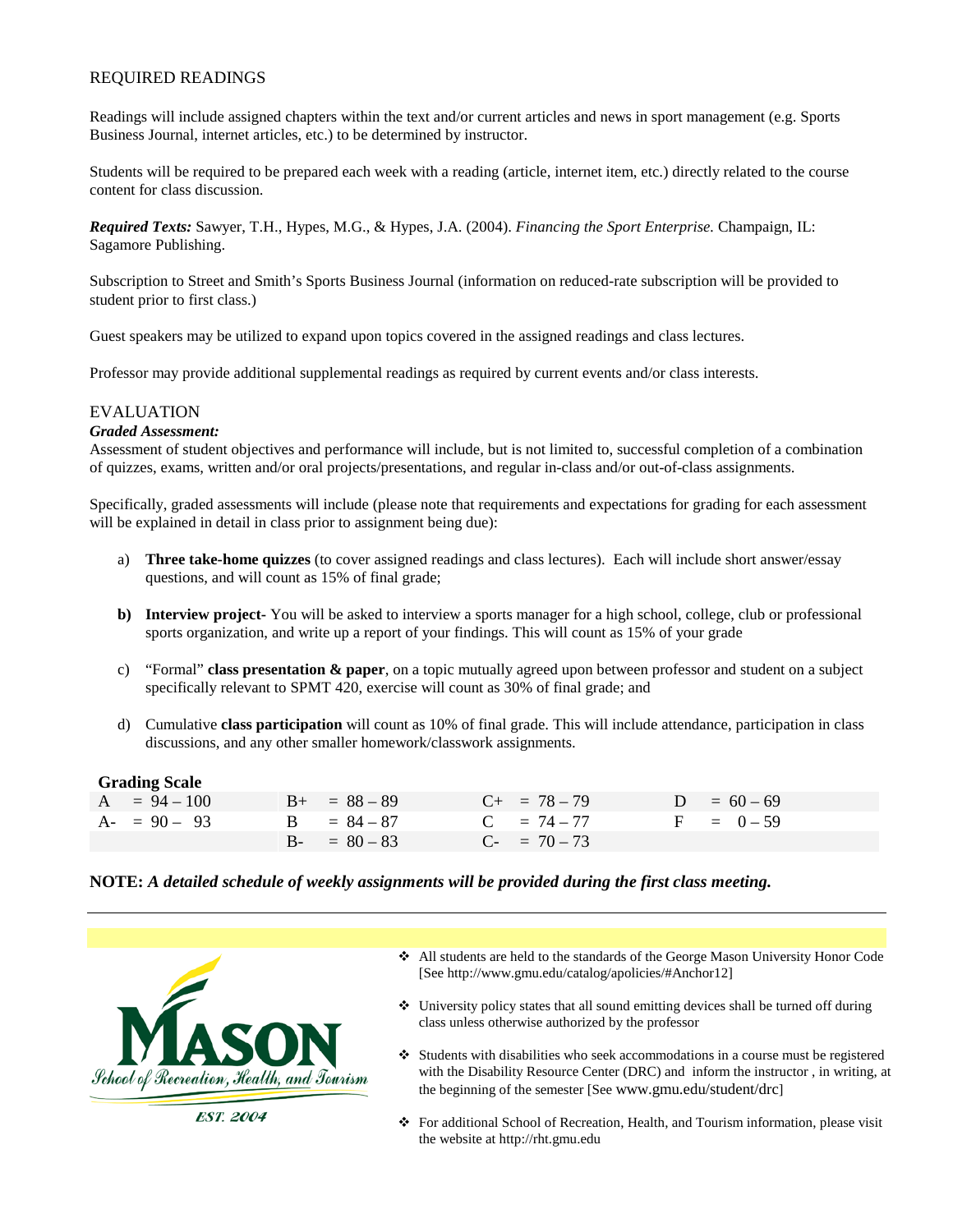# REQUIRED READINGS

Readings will include assigned chapters within the text and/or current articles and news in sport management (e.g. Sports Business Journal, internet articles, etc.) to be determined by instructor.

Students will be required to be prepared each week with a reading (article, internet item, etc.) directly related to the course content for class discussion.

*Required Texts:* Sawyer, T.H., Hypes, M.G., & Hypes, J.A. (2004). *Financing the Sport Enterprise.* Champaign, IL: Sagamore Publishing.

Subscription to Street and Smith's Sports Business Journal (information on reduced-rate subscription will be provided to student prior to first class.)

Guest speakers may be utilized to expand upon topics covered in the assigned readings and class lectures.

Professor may provide additional supplemental readings as required by current events and/or class interests.

## EVALUATION

### *Graded Assessment:*

Assessment of student objectives and performance will include, but is not limited to, successful completion of a combination of quizzes, exams, written and/or oral projects/presentations, and regular in-class and/or out-of-class assignments.

Specifically, graded assessments will include (please note that requirements and expectations for grading for each assessment will be explained in detail in class prior to assignment being due):

- a) **Three take-home quizzes** (to cover assigned readings and class lectures). Each will include short answer/essay questions, and will count as 15% of final grade;
- **b) Interview project-** You will be asked to interview a sports manager for a high school, college, club or professional sports organization, and write up a report of your findings. This will count as 15% of your grade
- c) "Formal" **class presentation & paper**, on a topic mutually agreed upon between professor and student on a subject specifically relevant to SPMT 420, exercise will count as 30% of final grade; and
- d) Cumulative **class participation** will count as 10% of final grade. This will include attendance, participation in class discussions, and any other smaller homework/classwork assignments.

### **Grading Scale**

| $A = 94 - 100$ |  | $B_{+}$ = 88 - 89 | $C_{+}$ = 78 – 79 | $D = 60 - 69$ |
|----------------|--|-------------------|-------------------|---------------|
| $A - 90 - 93$  |  | $B = 84 - 87$     | $C = 74 - 77$     | $F = 0 - 59$  |
|                |  | $B - = 80 - 83$   | $C_{-}$ = 70 – 73 |               |

### **NOTE:** *A detailed schedule of weekly assignments will be provided during the first class meeting.*



- All students are held to the standards of the George Mason University Honor Code [See http://www.gmu.edu/catalog/apolicies/#Anchor12]
- $\triangle$  University policy states that all sound emitting devices shall be turned off during class unless otherwise authorized by the professor
- $\triangleleft$  Students with disabilities who seek accommodations in a course must be registered with the Disability Resource Center (DRC) and inform the instructor , in writing, at the beginning of the semester [See www.gmu.edu/student/drc]
- For additional School of Recreation, Health, and Tourism information, please visit the website at http://rht.gmu.edu

**EST. 2004**